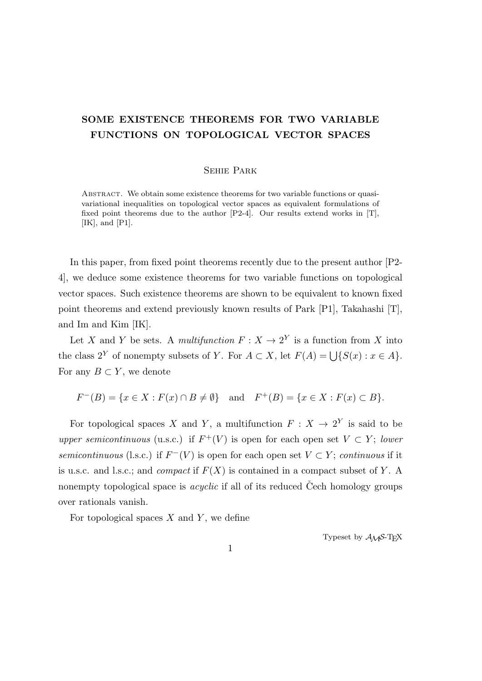## **SOME EXISTENCE THEOREMS FOR TWO VARIABLE FUNCTIONS ON TOPOLOGICAL VECTOR SPACES**

## Sehie Park

Abstract. We obtain some existence theorems for two variable functions or quasivariational inequalities on topological vector spaces as equivalent formulations of fixed point theorems due to the author  $[P2-4]$ . Our results extend works in [T], [IK], and [P1].

In this paper, from fixed point theorems recently due to the present author [P2-4], we deduce some existence theorems for two variable functions on topological vector spaces. Such existence theorems are shown to be equivalent to known fixed point theorems and extend previously known results of Park [P1], Takahashi [T], and Im and Kim [IK].

Let *X* and *Y* be sets. A *multifunction*  $F: X \to 2^Y$  is a function from *X* into the class  $2^Y$  of nonempty subsets of *Y*. For  $A \subset X$ , let  $F(A) = \bigcup \{S(x) : x \in A\}$ . For any  $B \subset Y$ , we denote

$$
F^{-}(B) = \{ x \in X : F(x) \cap B \neq \emptyset \} \text{ and } F^{+}(B) = \{ x \in X : F(x) \subset B \}.
$$

For topological spaces *X* and *Y*, a multifunction  $F: X \to 2^Y$  is said to be *upper semicontinuous* (u.s.c.) if  $F^+(V)$  is open for each open set  $V \subset Y$ ; *lower semicontinuous* (l.s.c.) if  $F^{-}(V)$  is open for each open set  $V \subset Y$ ; *continuous* if it is u.s.c. and l.s.c.; and *compact* if *F*(*X*) is contained in a compact subset of *Y* . A nonempty topological space is *acyclic* if all of its reduced Cech homology groups over rationals vanish.

For topological spaces *X* and *Y* , we define

Typeset by  $A_{\mathcal{M}}S$ -T<sub>E</sub>X

1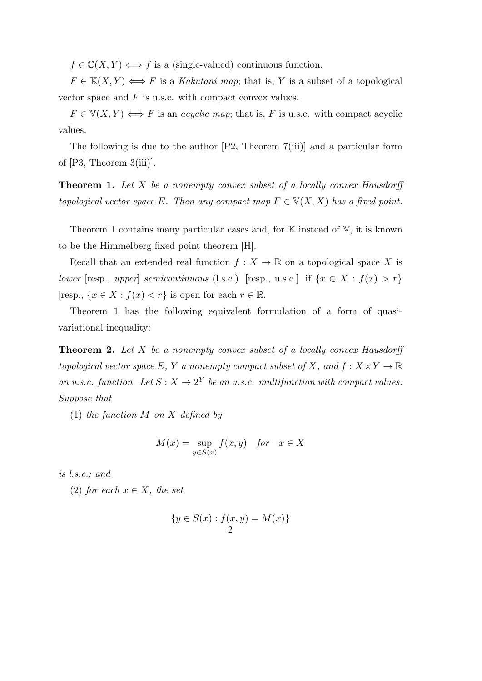$f \in \mathbb{C}(X, Y) \Longleftrightarrow f$  is a (single-valued) continuous function.

 $F \in K(X, Y) \Longleftrightarrow F$  is a *Kakutani map*; that is, *Y* is a subset of a topological vector space and *F* is u.s.c. with compact convex values.

 $F \in V(X, Y) \Longleftrightarrow F$  is an *acyclic map*; that is, *F* is u.s.c. with compact acyclic values.

The following is due to the author [P2, Theorem 7(iii)] and a particular form of [P3, Theorem 3(iii)].

**Theorem 1.** *Let X be a nonempty convex subset of a locally convex Hausdorff topological vector space*  $E$ *. Then any compact map*  $F \in V(X, X)$  *has a fixed point.* 

Theorem 1 contains many particular cases and, for  $K$  instead of  $V$ , it is known to be the Himmelberg fixed point theorem [H].

Recall that an extended real function  $f: X \to \overline{\mathbb{R}}$  on a topological space X is *lower* [resp., *upper*] *semicontinuous* (l.s.c.) [resp., u.s.c.] if  $\{x \in X : f(x) > r\}$ [resp.,  $\{x \in X : f(x) < r\}$  is open for each  $r \in \overline{\mathbb{R}}$ .

Theorem 1 has the following equivalent formulation of a form of quasivariational inequality:

**Theorem 2.** *Let X be a nonempty convex subset of a locally convex Hausdorff topological vector space*  $E$ *,*  $Y$  *a nonempty compact subset of*  $X$ *, and*  $f : X \times Y \to \mathbb{R}$ *an u.s.c. function.* Let  $S: X \to 2^Y$  be an u.s.c. multifunction with compact values. *Suppose that*

(1) *the function M on X defined by*

$$
M(x) = \sup_{y \in S(x)} f(x, y) \quad \text{for} \quad x \in X
$$

*is l.s.c.; and*

(2) *for each*  $x \in X$ *, the set* 

$$
\{y \in S(x) : f(x, y) = M(x)\}\
$$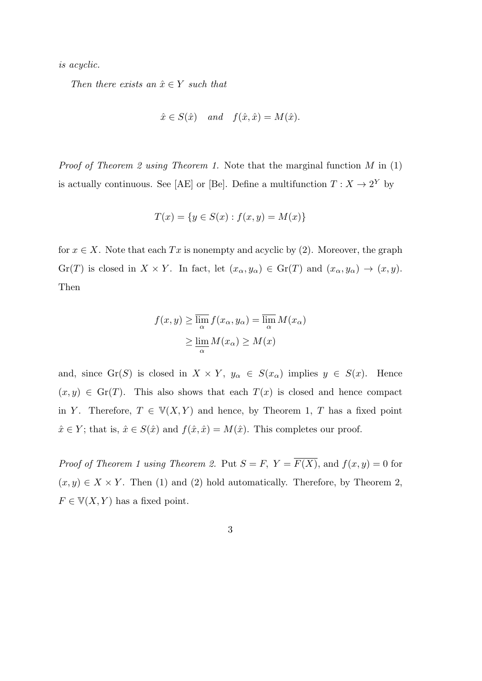*is acyclic.*

*Then there exists an*  $\hat{x} \in Y$  *such that* 

$$
\hat{x} \in S(\hat{x})
$$
 and  $f(\hat{x}, \hat{x}) = M(\hat{x})$ .

*Proof of Theorem 2 using Theorem 1.* Note that the marginal function *M* in (1) is actually continuous. See [AE] or [Be]. Define a multifunction  $T: X \to 2^Y$  by

$$
T(x) = \{ y \in S(x) : f(x, y) = M(x) \}
$$

for  $x \in X$ . Note that each  $Tx$  is nonempty and acyclic by (2). Moreover, the graph Gr(*T*) is closed in  $X \times Y$ . In fact, let  $(x_{\alpha}, y_{\alpha}) \in \text{Gr}(T)$  and  $(x_{\alpha}, y_{\alpha}) \to (x, y)$ . Then

$$
f(x, y) \ge \overline{\lim_{\alpha}} f(x_{\alpha}, y_{\alpha}) = \overline{\lim_{\alpha}} M(x_{\alpha})
$$

$$
\ge \underline{\lim_{\alpha}} M(x_{\alpha}) \ge M(x)
$$

and, since Gr(*S*) is closed in  $X \times Y$ ,  $y_{\alpha} \in S(x_{\alpha})$  implies  $y \in S(x)$ . Hence  $(x, y) \in \text{Gr}(T)$ . This also shows that each  $T(x)$  is closed and hence compact in *Y*. Therefore,  $T \in V(X, Y)$  and hence, by Theorem 1, *T* has a fixed point  $\hat{x} \in Y$ ; that is,  $\hat{x} \in S(\hat{x})$  and  $f(\hat{x}, \hat{x}) = M(\hat{x})$ . This completes our proof.

*Proof of Theorem 1 using Theorem 2.* Put  $S = F$ ,  $Y = \overline{F(X)}$ , and  $f(x, y) = 0$  for  $(x, y) \in X \times Y$ . Then (1) and (2) hold automatically. Therefore, by Theorem 2,  $F \in V(X, Y)$  has a fixed point.

## 3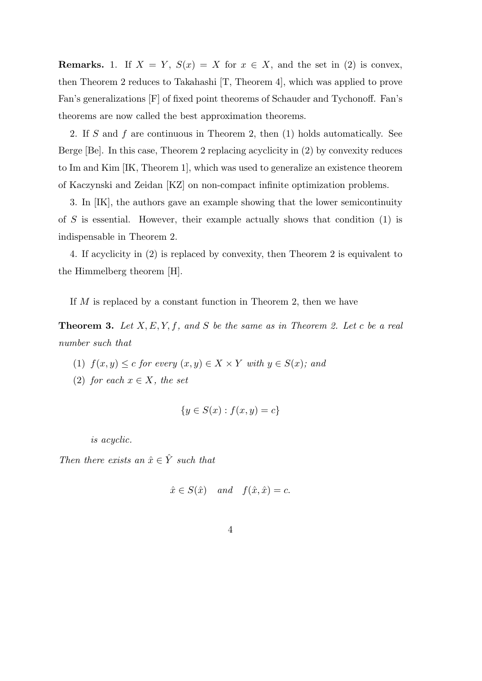**Remarks.** 1. If  $X = Y$ ,  $S(x) = X$  for  $x \in X$ , and the set in (2) is convex, then Theorem 2 reduces to Takahashi [T, Theorem 4], which was applied to prove Fan's generalizations [F] of fixed point theorems of Schauder and Tychonoff. Fan's theorems are now called the best approximation theorems.

2. If *S* and *f* are continuous in Theorem 2, then (1) holds automatically. See Berge [Be]. In this case, Theorem 2 replacing acyclicity in (2) by convexity reduces to Im and Kim [IK, Theorem 1], which was used to generalize an existence theorem of Kaczynski and Zeidan [KZ] on non-compact infinite optimization problems.

3. In [IK], the authors gave an example showing that the lower semicontinuity of *S* is essential. However, their example actually shows that condition (1) is indispensable in Theorem 2.

4. If acyclicity in (2) is replaced by convexity, then Theorem 2 is equivalent to the Himmelberg theorem [H].

If *M* is replaced by a constant function in Theorem 2, then we have

**Theorem 3.** *Let X, E, Y, f, and S be the same as in Theorem 2. Let c be a real number such that*

- (1)  $f(x, y) \le c$  *for every*  $(x, y) \in X \times Y$  *with*  $y \in S(x)$ *; and*
- (2) *for each*  $x \in X$ *, the set*

$$
\{y \in S(x) : f(x, y) = c\}
$$

*is acyclic.*

*Then there exists an*  $\hat{x} \in \hat{Y}$  *such that* 

$$
\hat{x} \in S(\hat{x})
$$
 and  $f(\hat{x}, \hat{x}) = c$ .

$$
4\phantom{.0}
$$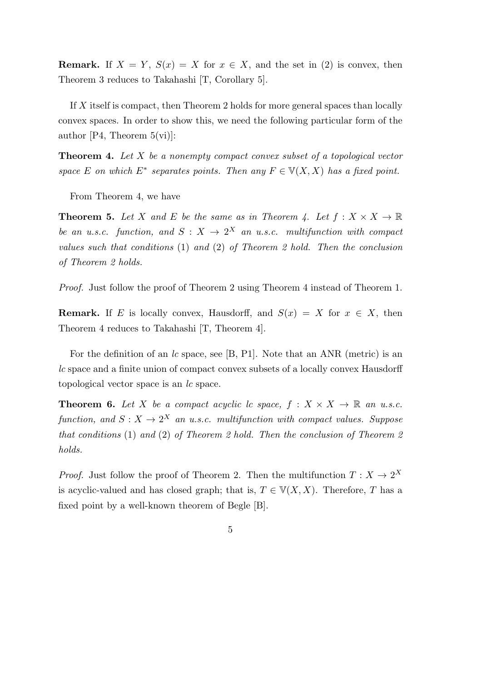**Remark.** If  $X = Y$ ,  $S(x) = X$  for  $x \in X$ , and the set in (2) is convex, then Theorem 3 reduces to Takahashi [T, Corollary 5].

If *X* itself is compact, then Theorem 2 holds for more general spaces than locally convex spaces. In order to show this, we need the following particular form of the author [P4, Theorem  $5(\text{vi})$ ]:

**Theorem 4.** *Let X be a nonempty compact convex subset of a topological vector space E on which*  $E^*$  *separates points. Then any*  $F \in V(X, X)$  *has a fixed point.* 

From Theorem 4, we have

**Theorem 5.** Let *X* and *E* be the same as in Theorem 4. Let  $f: X \times X \to \mathbb{R}$ *be an u.s.c. function, and*  $S: X \rightarrow 2^X$  *an u.s.c. multifunction with compact values such that conditions* (1) *and* (2) *of Theorem 2 hold. Then the conclusion of Theorem 2 holds.*

*Proof.* Just follow the proof of Theorem 2 using Theorem 4 instead of Theorem 1.

**Remark.** If *E* is locally convex, Hausdorff, and  $S(x) = X$  for  $x \in X$ , then Theorem 4 reduces to Takahashi [T, Theorem 4].

For the definition of an *lc* space, see [B, P1]. Note that an ANR (metric) is an *lc* space and a finite union of compact convex subsets of a locally convex Hausdorff topological vector space is an *lc* space.

**Theorem 6.** Let *X* be a compact acyclic lc space,  $f : X \times X \to \mathbb{R}$  an u.s.c. *function, and*  $S: X \to 2^X$  *an u.s.c. multifunction with compact values. Suppose that conditions* (1) *and* (2) *of Theorem 2 hold. Then the conclusion of Theorem 2 holds.*

*Proof.* Just follow the proof of Theorem 2. Then the multifunction  $T: X \to 2^X$ is acyclic-valued and has closed graph; that is,  $T \in V(X, X)$ . Therefore, *T* has a fixed point by a well-known theorem of Begle [B].

5